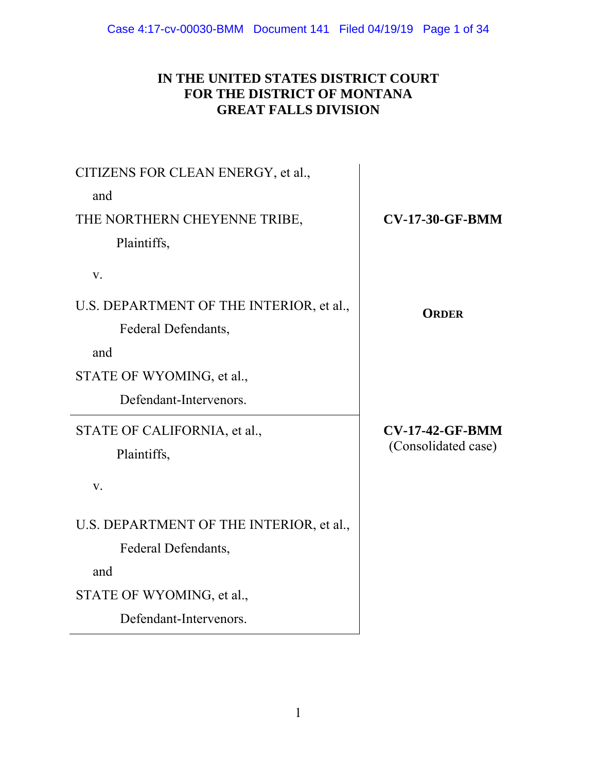# **IN THE UNITED STATES DISTRICT COURT FOR THE DISTRICT OF MONTANA GREAT FALLS DIVISION**

| CITIZENS FOR CLEAN ENERGY, et al.,       |                        |
|------------------------------------------|------------------------|
| and                                      |                        |
| THE NORTHERN CHEYENNE TRIBE,             | <b>CV-17-30-GF-BMM</b> |
| Plaintiffs,                              |                        |
| V.                                       |                        |
| U.S. DEPARTMENT OF THE INTERIOR, et al., | <b>ORDER</b>           |
| Federal Defendants,                      |                        |
| and                                      |                        |
| STATE OF WYOMING, et al.,                |                        |
| Defendant-Intervenors.                   |                        |
| STATE OF CALIFORNIA, et al.,             | <b>CV-17-42-GF-BMM</b> |
| Plaintiffs,                              | (Consolidated case)    |
| V.                                       |                        |
| U.S. DEPARTMENT OF THE INTERIOR, et al., |                        |
| Federal Defendants,                      |                        |
| and                                      |                        |
| STATE OF WYOMING, et al.,                |                        |
| Defendant-Intervenors.                   |                        |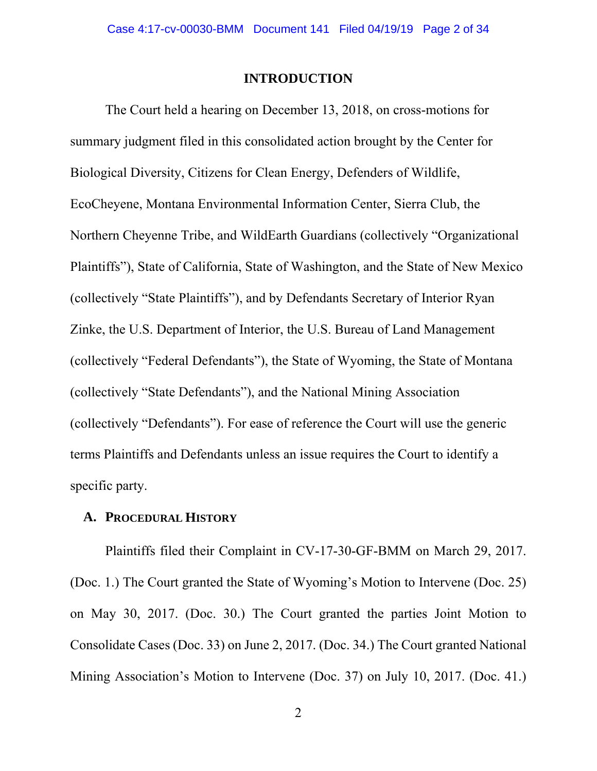#### **INTRODUCTION**

The Court held a hearing on December 13, 2018, on cross-motions for summary judgment filed in this consolidated action brought by the Center for Biological Diversity, Citizens for Clean Energy, Defenders of Wildlife, EcoCheyene, Montana Environmental Information Center, Sierra Club, the Northern Cheyenne Tribe, and WildEarth Guardians (collectively "Organizational Plaintiffs"), State of California, State of Washington, and the State of New Mexico (collectively "State Plaintiffs"), and by Defendants Secretary of Interior Ryan Zinke, the U.S. Department of Interior, the U.S. Bureau of Land Management (collectively "Federal Defendants"), the State of Wyoming, the State of Montana (collectively "State Defendants"), and the National Mining Association (collectively "Defendants"). For ease of reference the Court will use the generic terms Plaintiffs and Defendants unless an issue requires the Court to identify a specific party.

#### **A. PROCEDURAL HISTORY**

Plaintiffs filed their Complaint in CV-17-30-GF-BMM on March 29, 2017. (Doc. 1.) The Court granted the State of Wyoming's Motion to Intervene (Doc. 25) on May 30, 2017. (Doc. 30.) The Court granted the parties Joint Motion to Consolidate Cases (Doc. 33) on June 2, 2017. (Doc. 34.) The Court granted National Mining Association's Motion to Intervene (Doc. 37) on July 10, 2017. (Doc. 41.)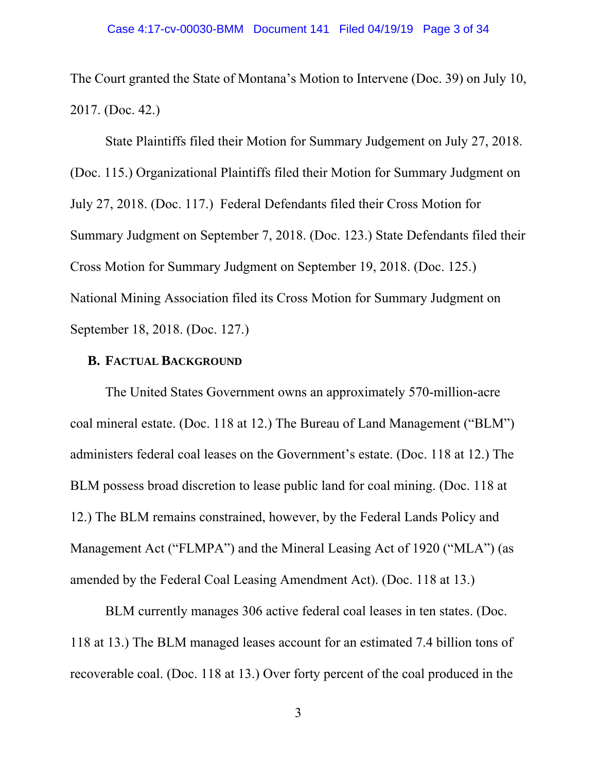The Court granted the State of Montana's Motion to Intervene (Doc. 39) on July 10, 2017. (Doc. 42.)

 State Plaintiffs filed their Motion for Summary Judgement on July 27, 2018. (Doc. 115.) Organizational Plaintiffs filed their Motion for Summary Judgment on July 27, 2018. (Doc. 117.) Federal Defendants filed their Cross Motion for Summary Judgment on September 7, 2018. (Doc. 123.) State Defendants filed their Cross Motion for Summary Judgment on September 19, 2018. (Doc. 125.) National Mining Association filed its Cross Motion for Summary Judgment on September 18, 2018. (Doc. 127.)

### **B. FACTUAL BACKGROUND**

 The United States Government owns an approximately 570-million-acre coal mineral estate. (Doc. 118 at 12.) The Bureau of Land Management ("BLM") administers federal coal leases on the Government's estate. (Doc. 118 at 12.) The BLM possess broad discretion to lease public land for coal mining. (Doc. 118 at 12.) The BLM remains constrained, however, by the Federal Lands Policy and Management Act ("FLMPA") and the Mineral Leasing Act of 1920 ("MLA") (as amended by the Federal Coal Leasing Amendment Act). (Doc. 118 at 13.)

 BLM currently manages 306 active federal coal leases in ten states. (Doc. 118 at 13.) The BLM managed leases account for an estimated 7.4 billion tons of recoverable coal. (Doc. 118 at 13.) Over forty percent of the coal produced in the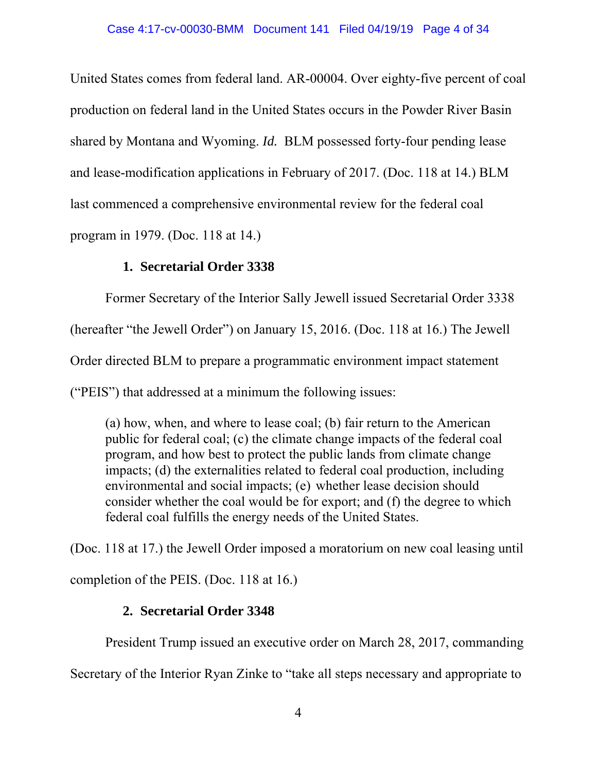United States comes from federal land. AR-00004. Over eighty-five percent of coal production on federal land in the United States occurs in the Powder River Basin shared by Montana and Wyoming. *Id.* BLM possessed forty-four pending lease and lease-modification applications in February of 2017. (Doc. 118 at 14.) BLM last commenced a comprehensive environmental review for the federal coal program in 1979. (Doc. 118 at 14.)

# **1. Secretarial Order 3338**

Former Secretary of the Interior Sally Jewell issued Secretarial Order 3338

(hereafter "the Jewell Order") on January 15, 2016. (Doc. 118 at 16.) The Jewell

Order directed BLM to prepare a programmatic environment impact statement

("PEIS") that addressed at a minimum the following issues:

 (a) how, when, and where to lease coal; (b) fair return to the American public for federal coal; (c) the climate change impacts of the federal coal program, and how best to protect the public lands from climate change impacts; (d) the externalities related to federal coal production, including environmental and social impacts; (e) whether lease decision should consider whether the coal would be for export; and (f) the degree to which federal coal fulfills the energy needs of the United States.

(Doc. 118 at 17.) the Jewell Order imposed a moratorium on new coal leasing until completion of the PEIS. (Doc. 118 at 16.)

# **2. Secretarial Order 3348**

President Trump issued an executive order on March 28, 2017, commanding

Secretary of the Interior Ryan Zinke to "take all steps necessary and appropriate to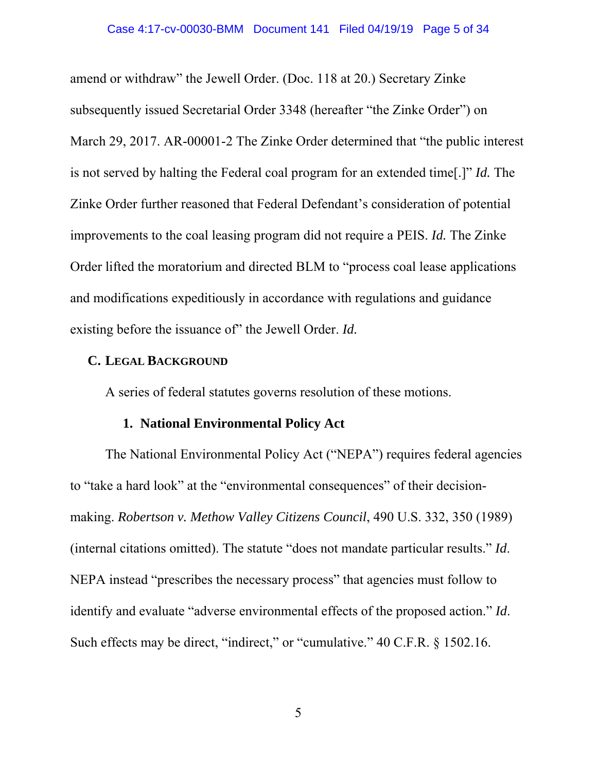amend or withdraw" the Jewell Order. (Doc. 118 at 20.) Secretary Zinke subsequently issued Secretarial Order 3348 (hereafter "the Zinke Order") on March 29, 2017. AR-00001-2 The Zinke Order determined that "the public interest is not served by halting the Federal coal program for an extended time[.]" *Id.* The Zinke Order further reasoned that Federal Defendant's consideration of potential improvements to the coal leasing program did not require a PEIS. *Id.* The Zinke Order lifted the moratorium and directed BLM to "process coal lease applications and modifications expeditiously in accordance with regulations and guidance existing before the issuance of" the Jewell Order. *Id.* 

#### **C. LEGAL BACKGROUND**

A series of federal statutes governs resolution of these motions.

## **1. National Environmental Policy Act**

 The National Environmental Policy Act ("NEPA") requires federal agencies to "take a hard look" at the "environmental consequences" of their decisionmaking. *Robertson v. Methow Valley Citizens Council*, 490 U.S. 332, 350 (1989) (internal citations omitted). The statute "does not mandate particular results." *Id*. NEPA instead "prescribes the necessary process" that agencies must follow to identify and evaluate "adverse environmental effects of the proposed action." *Id*. Such effects may be direct, "indirect," or "cumulative." 40 C.F.R. § 1502.16.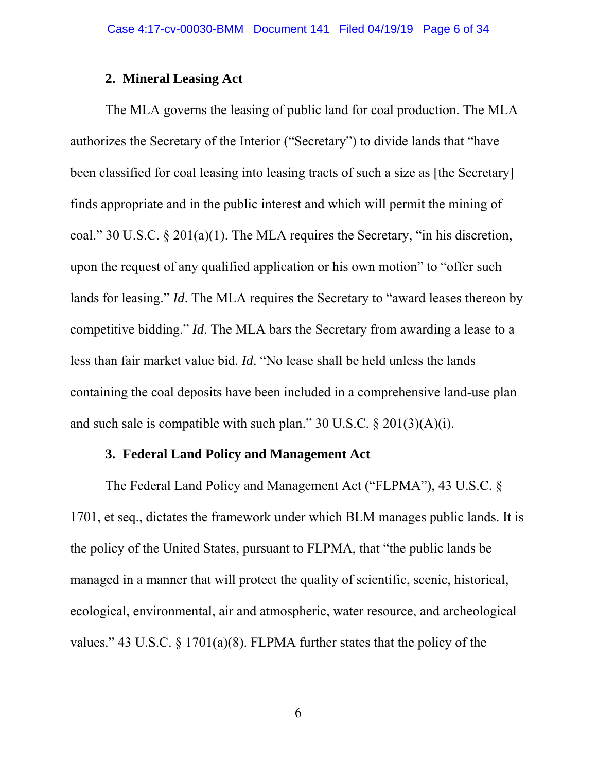### **2. Mineral Leasing Act**

 The MLA governs the leasing of public land for coal production. The MLA authorizes the Secretary of the Interior ("Secretary") to divide lands that "have been classified for coal leasing into leasing tracts of such a size as [the Secretary] finds appropriate and in the public interest and which will permit the mining of coal." 30 U.S.C. § 201(a)(1). The MLA requires the Secretary, "in his discretion, upon the request of any qualified application or his own motion" to "offer such lands for leasing." *Id*. The MLA requires the Secretary to "award leases thereon by competitive bidding." *Id*. The MLA bars the Secretary from awarding a lease to a less than fair market value bid. *Id*. "No lease shall be held unless the lands containing the coal deposits have been included in a comprehensive land-use plan and such sale is compatible with such plan."  $30 \text{ U.S.C.} \& 201(3)(\text{A})(i)$ .

# **3. Federal Land Policy and Management Act**

 The Federal Land Policy and Management Act ("FLPMA"), 43 U.S.C. § 1701, et seq., dictates the framework under which BLM manages public lands. It is the policy of the United States, pursuant to FLPMA, that "the public lands be managed in a manner that will protect the quality of scientific, scenic, historical, ecological, environmental, air and atmospheric, water resource, and archeological values." 43 U.S.C. § 1701(a)(8). FLPMA further states that the policy of the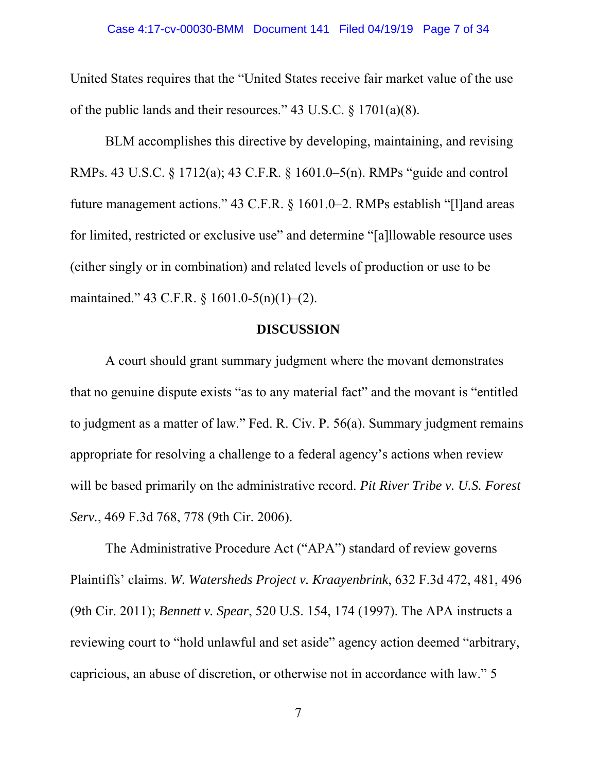United States requires that the "United States receive fair market value of the use of the public lands and their resources." 43 U.S.C. § 1701(a)(8).

 BLM accomplishes this directive by developing, maintaining, and revising RMPs. 43 U.S.C. § 1712(a); 43 C.F.R. § 1601.0–5(n). RMPs "guide and control future management actions." 43 C.F.R. § 1601.0–2. RMPs establish "[l]and areas for limited, restricted or exclusive use" and determine "[a]llowable resource uses (either singly or in combination) and related levels of production or use to be maintained." 43 C.F.R. § 1601.0-5(n)(1)–(2).

### **DISCUSSION**

A court should grant summary judgment where the movant demonstrates that no genuine dispute exists "as to any material fact" and the movant is "entitled to judgment as a matter of law." Fed. R. Civ. P. 56(a). Summary judgment remains appropriate for resolving a challenge to a federal agency's actions when review will be based primarily on the administrative record. *Pit River Tribe v. U.S. Forest Serv.*, 469 F.3d 768, 778 (9th Cir. 2006).

The Administrative Procedure Act ("APA") standard of review governs Plaintiffs' claims. *W. Watersheds Project v. Kraayenbrink*, 632 F.3d 472, 481, 496 (9th Cir. 2011); *Bennett v. Spear*, 520 U.S. 154, 174 (1997). The APA instructs a reviewing court to "hold unlawful and set aside" agency action deemed "arbitrary, capricious, an abuse of discretion, or otherwise not in accordance with law." 5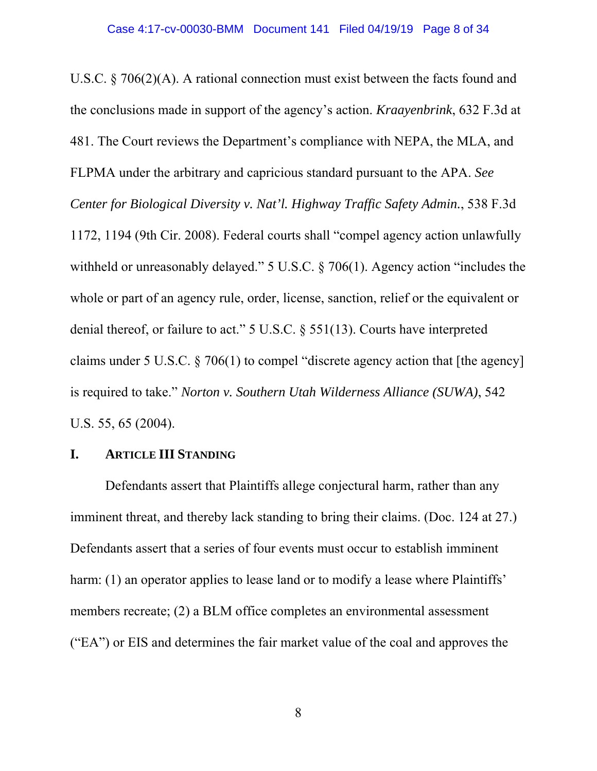U.S.C. § 706(2)(A). A rational connection must exist between the facts found and the conclusions made in support of the agency's action. *Kraayenbrink*, 632 F.3d at 481. The Court reviews the Department's compliance with NEPA, the MLA, and FLPMA under the arbitrary and capricious standard pursuant to the APA. *See Center for Biological Diversity v. Nat'l. Highway Traffic Safety Admin.*, 538 F.3d 1172, 1194 (9th Cir. 2008). Federal courts shall "compel agency action unlawfully withheld or unreasonably delayed." 5 U.S.C. § 706(1). Agency action "includes the whole or part of an agency rule, order, license, sanction, relief or the equivalent or denial thereof, or failure to act." 5 U.S.C. § 551(13). Courts have interpreted claims under 5 U.S.C. § 706(1) to compel "discrete agency action that [the agency] is required to take." *Norton v. Southern Utah Wilderness Alliance (SUWA)*, 542 U.S. 55, 65 (2004).

#### **I. ARTICLE III STANDING**

 Defendants assert that Plaintiffs allege conjectural harm, rather than any imminent threat, and thereby lack standing to bring their claims. (Doc. 124 at 27.) Defendants assert that a series of four events must occur to establish imminent harm: (1) an operator applies to lease land or to modify a lease where Plaintiffs' members recreate; (2) a BLM office completes an environmental assessment ("EA") or EIS and determines the fair market value of the coal and approves the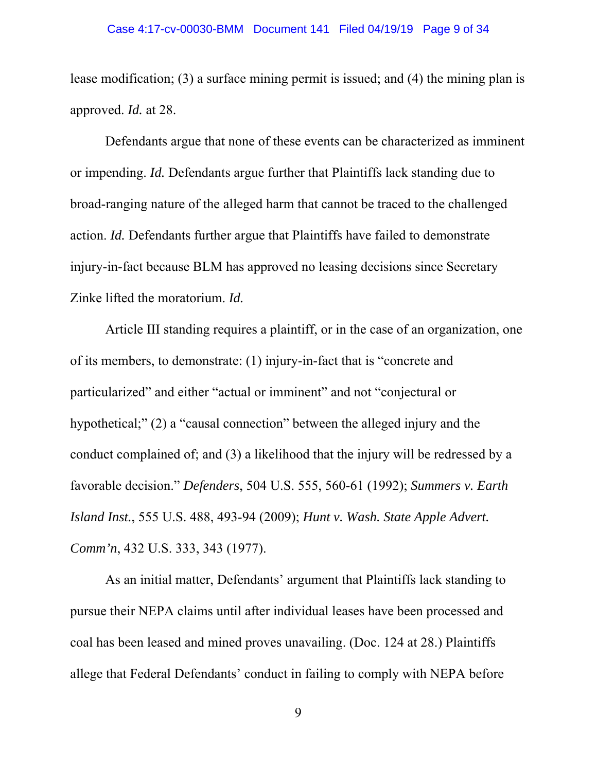lease modification; (3) a surface mining permit is issued; and (4) the mining plan is approved. *Id.* at 28.

Defendants argue that none of these events can be characterized as imminent or impending. *Id.* Defendants argue further that Plaintiffs lack standing due to broad-ranging nature of the alleged harm that cannot be traced to the challenged action. *Id.* Defendants further argue that Plaintiffs have failed to demonstrate injury-in-fact because BLM has approved no leasing decisions since Secretary Zinke lifted the moratorium. *Id.* 

 Article III standing requires a plaintiff, or in the case of an organization, one of its members, to demonstrate: (1) injury-in-fact that is "concrete and particularized" and either "actual or imminent" and not "conjectural or hypothetical;" (2) a "causal connection" between the alleged injury and the conduct complained of; and (3) a likelihood that the injury will be redressed by a favorable decision." *Defenders*, 504 U.S. 555, 560-61 (1992); *Summers v. Earth Island Inst.*, 555 U.S. 488, 493-94 (2009); *Hunt v. Wash. State Apple Advert. Comm'n*, 432 U.S. 333, 343 (1977).

As an initial matter, Defendants' argument that Plaintiffs lack standing to pursue their NEPA claims until after individual leases have been processed and coal has been leased and mined proves unavailing. (Doc. 124 at 28.) Plaintiffs allege that Federal Defendants' conduct in failing to comply with NEPA before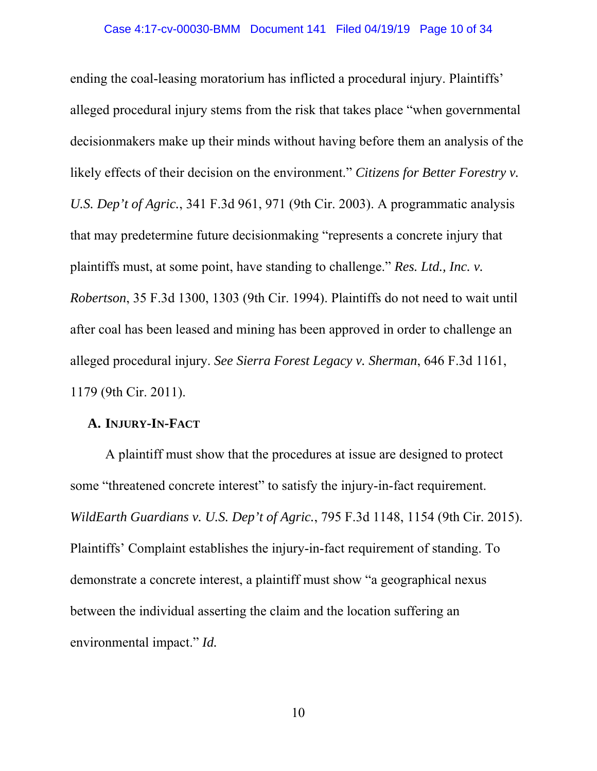ending the coal-leasing moratorium has inflicted a procedural injury. Plaintiffs' alleged procedural injury stems from the risk that takes place "when governmental decisionmakers make up their minds without having before them an analysis of the likely effects of their decision on the environment." *Citizens for Better Forestry v. U.S. Dep't of Agric.*, 341 F.3d 961, 971 (9th Cir. 2003). A programmatic analysis that may predetermine future decisionmaking "represents a concrete injury that plaintiffs must, at some point, have standing to challenge." *Res. Ltd., Inc. v. Robertson*, 35 F.3d 1300, 1303 (9th Cir. 1994). Plaintiffs do not need to wait until after coal has been leased and mining has been approved in order to challenge an alleged procedural injury. *See Sierra Forest Legacy v. Sherman*, 646 F.3d 1161, 1179 (9th Cir. 2011).

## **A. INJURY-IN-FACT**

 A plaintiff must show that the procedures at issue are designed to protect some "threatened concrete interest" to satisfy the injury-in-fact requirement. *WildEarth Guardians v. U.S. Dep't of Agric.*, 795 F.3d 1148, 1154 (9th Cir. 2015). Plaintiffs' Complaint establishes the injury-in-fact requirement of standing. To demonstrate a concrete interest, a plaintiff must show "a geographical nexus between the individual asserting the claim and the location suffering an environmental impact." *Id.*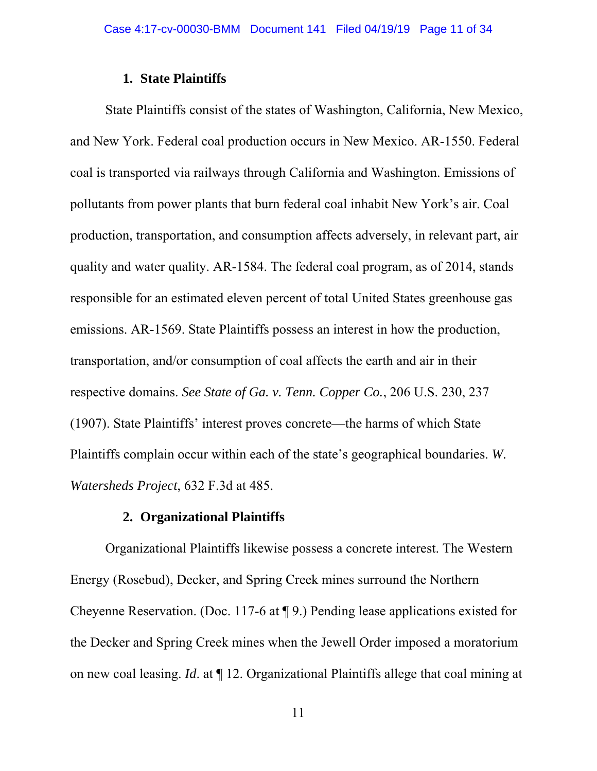### **1. State Plaintiffs**

State Plaintiffs consist of the states of Washington, California, New Mexico, and New York. Federal coal production occurs in New Mexico. AR-1550. Federal coal is transported via railways through California and Washington. Emissions of pollutants from power plants that burn federal coal inhabit New York's air. Coal production, transportation, and consumption affects adversely, in relevant part, air quality and water quality. AR-1584. The federal coal program, as of 2014, stands responsible for an estimated eleven percent of total United States greenhouse gas emissions. AR-1569. State Plaintiffs possess an interest in how the production, transportation, and/or consumption of coal affects the earth and air in their respective domains. *See State of Ga. v. Tenn. Copper Co.*, 206 U.S. 230, 237 (1907). State Plaintiffs' interest proves concrete—the harms of which State Plaintiffs complain occur within each of the state's geographical boundaries. *W. Watersheds Project*, 632 F.3d at 485.

#### **2. Organizational Plaintiffs**

Organizational Plaintiffs likewise possess a concrete interest. The Western Energy (Rosebud), Decker, and Spring Creek mines surround the Northern Cheyenne Reservation. (Doc. 117-6 at ¶ 9.) Pending lease applications existed for the Decker and Spring Creek mines when the Jewell Order imposed a moratorium on new coal leasing. *Id*. at ¶ 12. Organizational Plaintiffs allege that coal mining at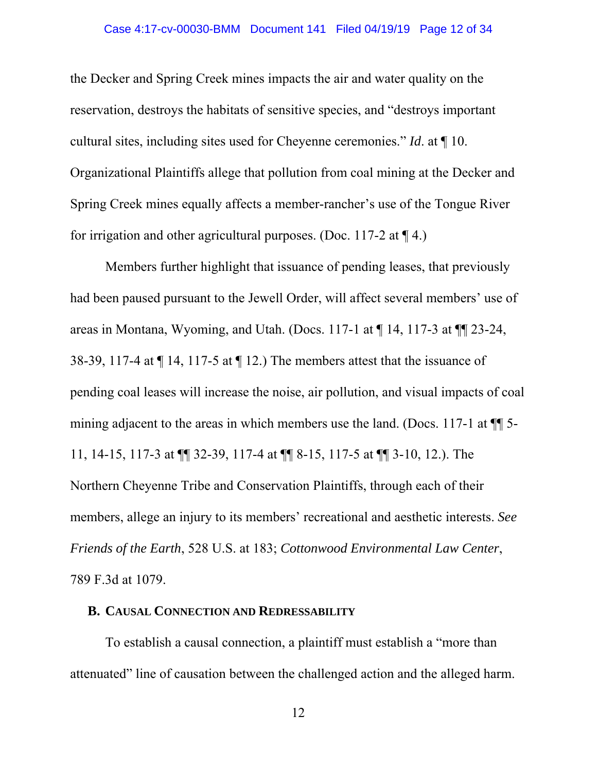the Decker and Spring Creek mines impacts the air and water quality on the reservation, destroys the habitats of sensitive species, and "destroys important cultural sites, including sites used for Cheyenne ceremonies." *Id*. at ¶ 10. Organizational Plaintiffs allege that pollution from coal mining at the Decker and Spring Creek mines equally affects a member-rancher's use of the Tongue River for irrigation and other agricultural purposes. (Doc. 117-2 at  $\P$  4.)

Members further highlight that issuance of pending leases, that previously had been paused pursuant to the Jewell Order, will affect several members' use of areas in Montana, Wyoming, and Utah. (Docs. 117-1 at ¶ 14, 117-3 at ¶¶ 23-24, 38-39, 117-4 at ¶ 14, 117-5 at ¶ 12.) The members attest that the issuance of pending coal leases will increase the noise, air pollution, and visual impacts of coal mining adjacent to the areas in which members use the land. (Docs. 117-1 at ¶¶ 5- 11, 14-15, 117-3 at ¶¶ 32-39, 117-4 at ¶¶ 8-15, 117-5 at ¶¶ 3-10, 12.). The Northern Cheyenne Tribe and Conservation Plaintiffs, through each of their members, allege an injury to its members' recreational and aesthetic interests. *See Friends of the Earth*, 528 U.S. at 183; *Cottonwood Environmental Law Center*, 789 F.3d at 1079.

### **B. CAUSAL CONNECTION AND REDRESSABILITY**

To establish a causal connection, a plaintiff must establish a "more than attenuated" line of causation between the challenged action and the alleged harm.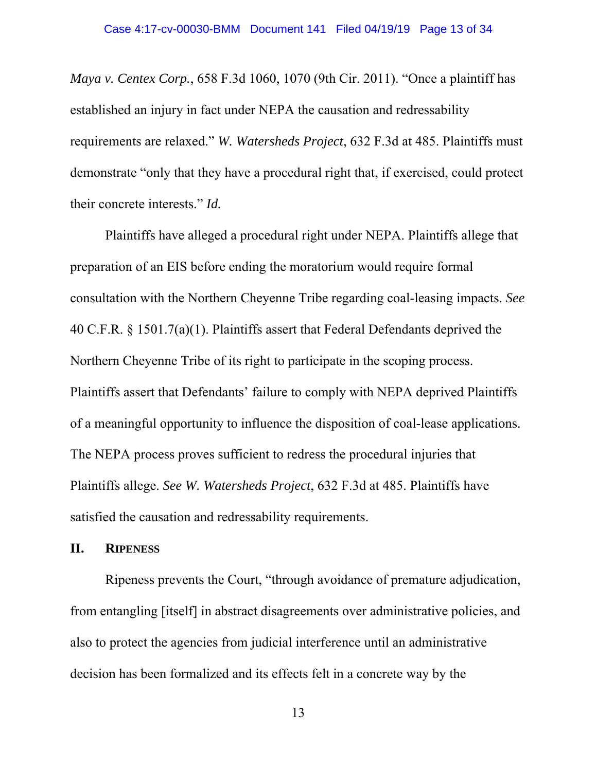*Maya v. Centex Corp.*, 658 F.3d 1060, 1070 (9th Cir. 2011). "Once a plaintiff has established an injury in fact under NEPA the causation and redressability requirements are relaxed." *W. Watersheds Project*, 632 F.3d at 485. Plaintiffs must demonstrate "only that they have a procedural right that, if exercised, could protect their concrete interests." *Id.* 

 Plaintiffs have alleged a procedural right under NEPA. Plaintiffs allege that preparation of an EIS before ending the moratorium would require formal consultation with the Northern Cheyenne Tribe regarding coal-leasing impacts. *See*  40 C.F.R. § 1501.7(a)(1). Plaintiffs assert that Federal Defendants deprived the Northern Cheyenne Tribe of its right to participate in the scoping process. Plaintiffs assert that Defendants' failure to comply with NEPA deprived Plaintiffs of a meaningful opportunity to influence the disposition of coal-lease applications. The NEPA process proves sufficient to redress the procedural injuries that Plaintiffs allege. *See W. Watersheds Project*, 632 F.3d at 485. Plaintiffs have satisfied the causation and redressability requirements.

## **II. RIPENESS**

 Ripeness prevents the Court, "through avoidance of premature adjudication, from entangling [itself] in abstract disagreements over administrative policies, and also to protect the agencies from judicial interference until an administrative decision has been formalized and its effects felt in a concrete way by the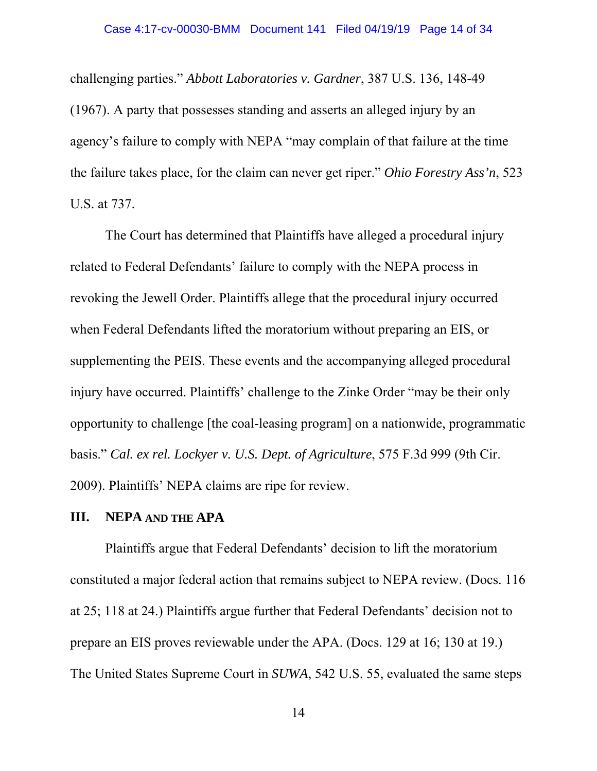challenging parties." *Abbott Laboratories v. Gardner*, 387 U.S. 136, 148-49 (1967). A party that possesses standing and asserts an alleged injury by an agency's failure to comply with NEPA "may complain of that failure at the time the failure takes place, for the claim can never get riper." *Ohio Forestry Ass'n*, 523 U.S. at 737.

 The Court has determined that Plaintiffs have alleged a procedural injury related to Federal Defendants' failure to comply with the NEPA process in revoking the Jewell Order. Plaintiffs allege that the procedural injury occurred when Federal Defendants lifted the moratorium without preparing an EIS, or supplementing the PEIS. These events and the accompanying alleged procedural injury have occurred. Plaintiffs' challenge to the Zinke Order "may be their only opportunity to challenge [the coal-leasing program] on a nationwide, programmatic basis." *Cal. ex rel. Lockyer v. U.S. Dept. of Agriculture*, 575 F.3d 999 (9th Cir. 2009). Plaintiffs' NEPA claims are ripe for review.

#### **III. NEPA AND THE APA**

Plaintiffs argue that Federal Defendants' decision to lift the moratorium constituted a major federal action that remains subject to NEPA review. (Docs. 116 at 25; 118 at 24.) Plaintiffs argue further that Federal Defendants' decision not to prepare an EIS proves reviewable under the APA. (Docs. 129 at 16; 130 at 19.) The United States Supreme Court in *SUWA*, 542 U.S. 55, evaluated the same steps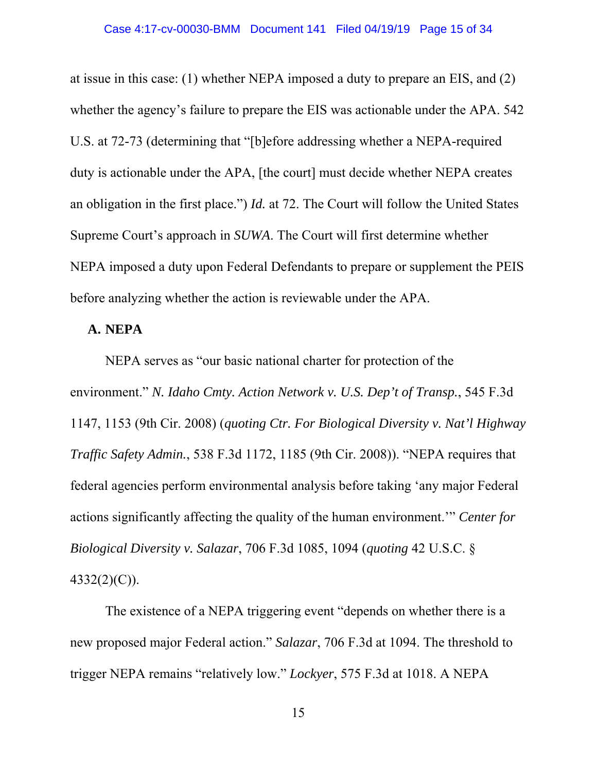at issue in this case: (1) whether NEPA imposed a duty to prepare an EIS, and (2) whether the agency's failure to prepare the EIS was actionable under the APA. 542 U.S. at 72-73 (determining that "[b]efore addressing whether a NEPA-required duty is actionable under the APA, [the court] must decide whether NEPA creates an obligation in the first place.") *Id.* at 72. The Court will follow the United States Supreme Court's approach in *SUWA*. The Court will first determine whether NEPA imposed a duty upon Federal Defendants to prepare or supplement the PEIS before analyzing whether the action is reviewable under the APA.

### **A. NEPA**

NEPA serves as "our basic national charter for protection of the environment." *N. Idaho Cmty. Action Network v. U.S. Dep't of Transp.*, 545 F.3d 1147, 1153 (9th Cir. 2008) (*quoting Ctr. For Biological Diversity v. Nat'l Highway Traffic Safety Admin.*, 538 F.3d 1172, 1185 (9th Cir. 2008)). "NEPA requires that federal agencies perform environmental analysis before taking 'any major Federal actions significantly affecting the quality of the human environment.'" *Center for Biological Diversity v. Salazar*, 706 F.3d 1085, 1094 (*quoting* 42 U.S.C. § 4332(2)(C)).

The existence of a NEPA triggering event "depends on whether there is a new proposed major Federal action." *Salazar*, 706 F.3d at 1094. The threshold to trigger NEPA remains "relatively low." *Lockyer*, 575 F.3d at 1018. A NEPA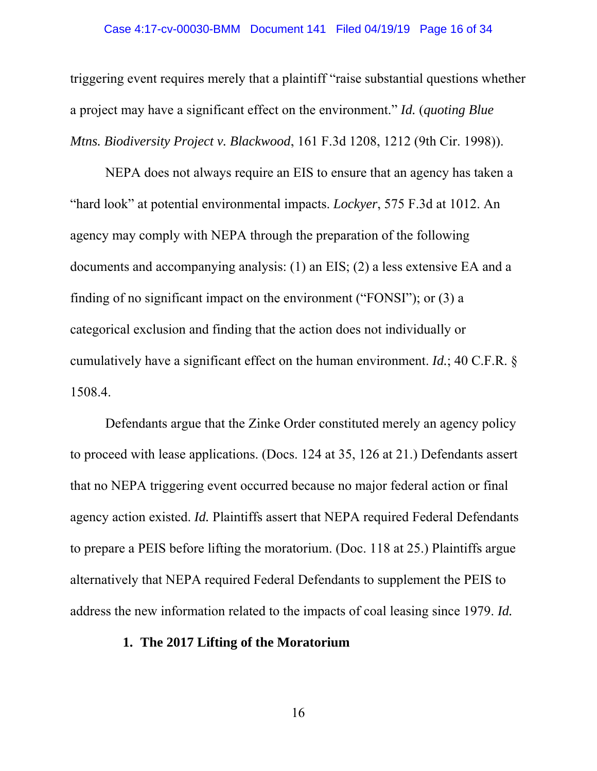#### Case 4:17-cv-00030-BMM Document 141 Filed 04/19/19 Page 16 of 34

triggering event requires merely that a plaintiff "raise substantial questions whether a project may have a significant effect on the environment." *Id.* (*quoting Blue Mtns. Biodiversity Project v. Blackwood*, 161 F.3d 1208, 1212 (9th Cir. 1998)).

NEPA does not always require an EIS to ensure that an agency has taken a "hard look" at potential environmental impacts. *Lockyer*, 575 F.3d at 1012. An agency may comply with NEPA through the preparation of the following documents and accompanying analysis: (1) an EIS; (2) a less extensive EA and a finding of no significant impact on the environment ("FONSI"); or (3) a categorical exclusion and finding that the action does not individually or cumulatively have a significant effect on the human environment. *Id.*; 40 C.F.R. § 1508.4.

Defendants argue that the Zinke Order constituted merely an agency policy to proceed with lease applications. (Docs. 124 at 35, 126 at 21.) Defendants assert that no NEPA triggering event occurred because no major federal action or final agency action existed. *Id.* Plaintiffs assert that NEPA required Federal Defendants to prepare a PEIS before lifting the moratorium. (Doc. 118 at 25.) Plaintiffs argue alternatively that NEPA required Federal Defendants to supplement the PEIS to address the new information related to the impacts of coal leasing since 1979. *Id.* 

## **1. The 2017 Lifting of the Moratorium**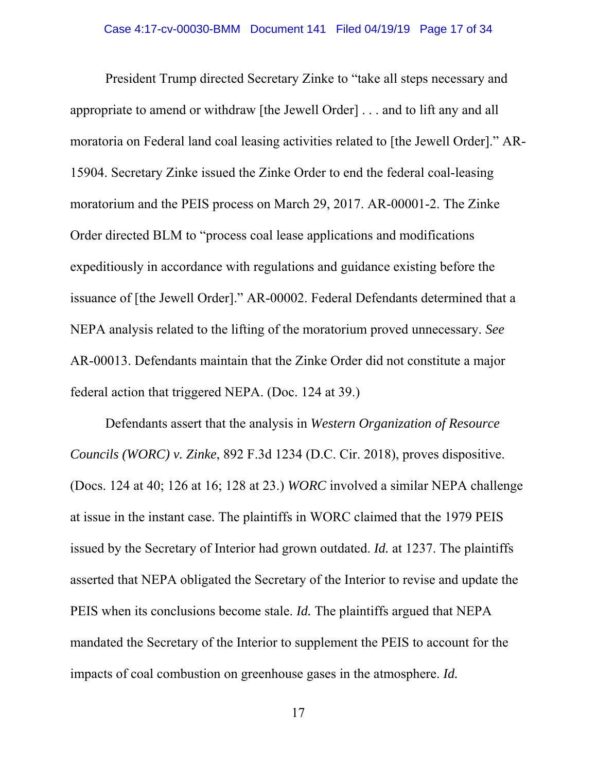President Trump directed Secretary Zinke to "take all steps necessary and appropriate to amend or withdraw [the Jewell Order] . . . and to lift any and all moratoria on Federal land coal leasing activities related to [the Jewell Order]." AR-15904. Secretary Zinke issued the Zinke Order to end the federal coal-leasing moratorium and the PEIS process on March 29, 2017. AR-00001-2. The Zinke Order directed BLM to "process coal lease applications and modifications expeditiously in accordance with regulations and guidance existing before the issuance of [the Jewell Order]." AR-00002. Federal Defendants determined that a NEPA analysis related to the lifting of the moratorium proved unnecessary. *See* AR-00013. Defendants maintain that the Zinke Order did not constitute a major federal action that triggered NEPA. (Doc. 124 at 39.)

Defendants assert that the analysis in *Western Organization of Resource Councils (WORC) v. Zinke*, 892 F.3d 1234 (D.C. Cir. 2018), proves dispositive. (Docs. 124 at 40; 126 at 16; 128 at 23.) *WORC* involved a similar NEPA challenge at issue in the instant case. The plaintiffs in WORC claimed that the 1979 PEIS issued by the Secretary of Interior had grown outdated. *Id.* at 1237. The plaintiffs asserted that NEPA obligated the Secretary of the Interior to revise and update the PEIS when its conclusions become stale. *Id.* The plaintiffs argued that NEPA mandated the Secretary of the Interior to supplement the PEIS to account for the impacts of coal combustion on greenhouse gases in the atmosphere. *Id.*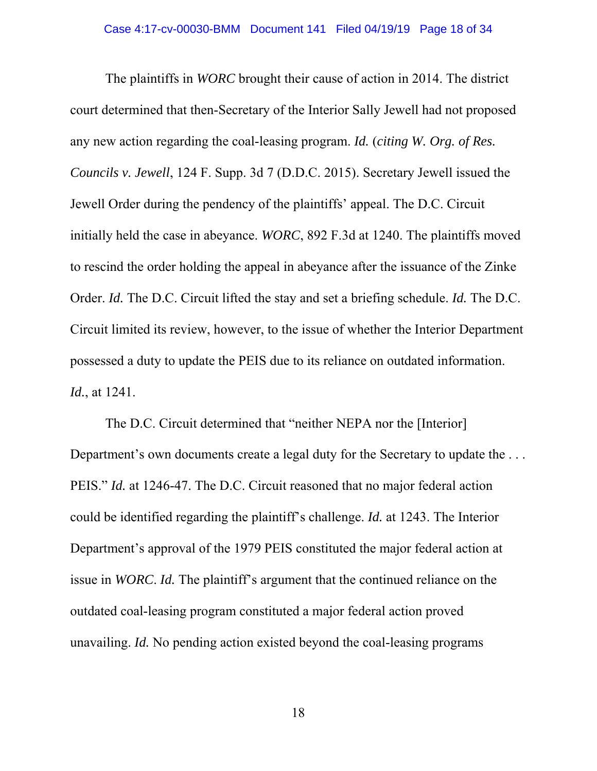The plaintiffs in *WORC* brought their cause of action in 2014. The district court determined that then-Secretary of the Interior Sally Jewell had not proposed any new action regarding the coal-leasing program. *Id.* (*citing W. Org. of Res. Councils v. Jewell*, 124 F. Supp. 3d 7 (D.D.C. 2015). Secretary Jewell issued the Jewell Order during the pendency of the plaintiffs' appeal. The D.C. Circuit initially held the case in abeyance. *WORC*, 892 F.3d at 1240. The plaintiffs moved to rescind the order holding the appeal in abeyance after the issuance of the Zinke Order. *Id.* The D.C. Circuit lifted the stay and set a briefing schedule. *Id.* The D.C. Circuit limited its review, however, to the issue of whether the Interior Department possessed a duty to update the PEIS due to its reliance on outdated information. *Id.*, at 1241.

The D.C. Circuit determined that "neither NEPA nor the [Interior] Department's own documents create a legal duty for the Secretary to update the ... PEIS." *Id.* at 1246-47. The D.C. Circuit reasoned that no major federal action could be identified regarding the plaintiff's challenge. *Id.* at 1243. The Interior Department's approval of the 1979 PEIS constituted the major federal action at issue in *WORC*. *Id.* The plaintiff's argument that the continued reliance on the outdated coal-leasing program constituted a major federal action proved unavailing. *Id.* No pending action existed beyond the coal-leasing programs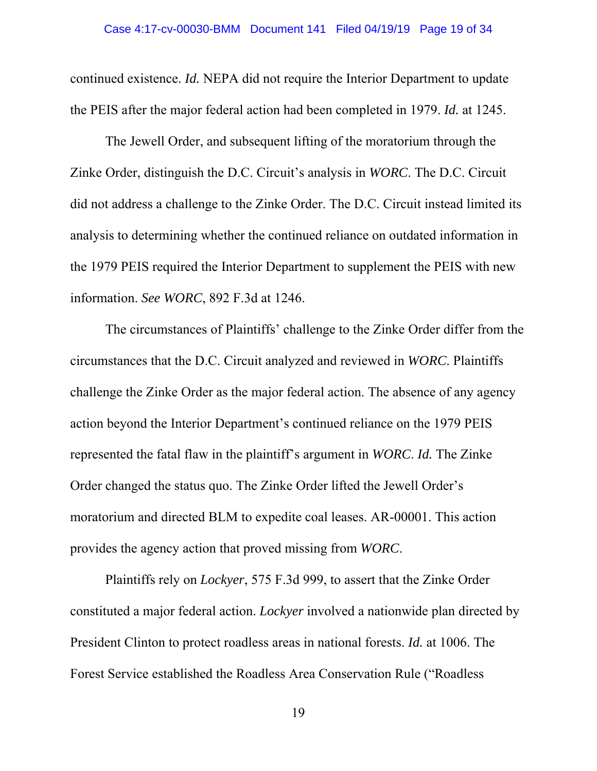continued existence. *Id.* NEPA did not require the Interior Department to update the PEIS after the major federal action had been completed in 1979. *Id.* at 1245.

The Jewell Order, and subsequent lifting of the moratorium through the Zinke Order, distinguish the D.C. Circuit's analysis in *WORC*. The D.C. Circuit did not address a challenge to the Zinke Order. The D.C. Circuit instead limited its analysis to determining whether the continued reliance on outdated information in the 1979 PEIS required the Interior Department to supplement the PEIS with new information. *See WORC*, 892 F.3d at 1246.

The circumstances of Plaintiffs' challenge to the Zinke Order differ from the circumstances that the D.C. Circuit analyzed and reviewed in *WORC*. Plaintiffs challenge the Zinke Order as the major federal action. The absence of any agency action beyond the Interior Department's continued reliance on the 1979 PEIS represented the fatal flaw in the plaintiff's argument in *WORC*. *Id.* The Zinke Order changed the status quo. The Zinke Order lifted the Jewell Order's moratorium and directed BLM to expedite coal leases. AR-00001. This action provides the agency action that proved missing from *WORC*.

Plaintiffs rely on *Lockyer*, 575 F.3d 999, to assert that the Zinke Order constituted a major federal action. *Lockyer* involved a nationwide plan directed by President Clinton to protect roadless areas in national forests. *Id.* at 1006. The Forest Service established the Roadless Area Conservation Rule ("Roadless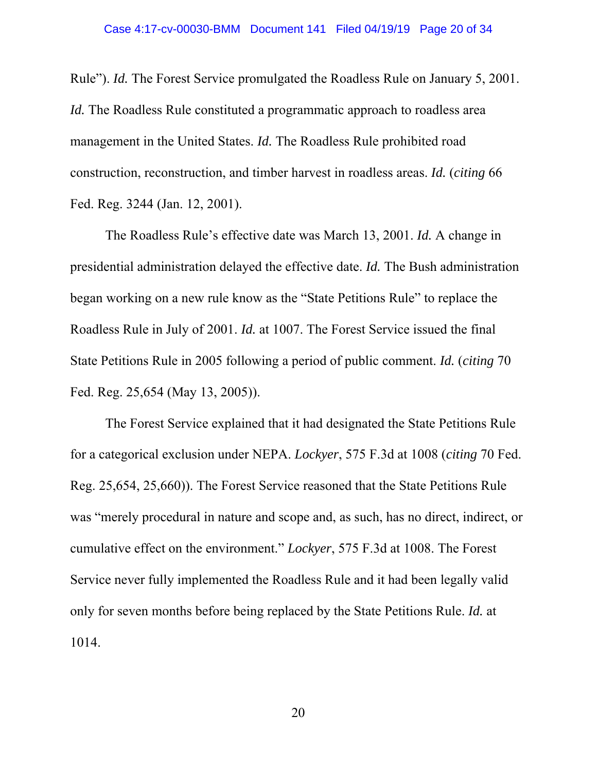Rule"). *Id.* The Forest Service promulgated the Roadless Rule on January 5, 2001. *Id.* The Roadless Rule constituted a programmatic approach to roadless area management in the United States. *Id.* The Roadless Rule prohibited road construction, reconstruction, and timber harvest in roadless areas. *Id.* (*citing* 66 Fed. Reg. 3244 (Jan. 12, 2001).

The Roadless Rule's effective date was March 13, 2001. *Id.* A change in presidential administration delayed the effective date. *Id.* The Bush administration began working on a new rule know as the "State Petitions Rule" to replace the Roadless Rule in July of 2001. *Id.* at 1007. The Forest Service issued the final State Petitions Rule in 2005 following a period of public comment. *Id.* (*citing* 70 Fed. Reg. 25,654 (May 13, 2005)).

The Forest Service explained that it had designated the State Petitions Rule for a categorical exclusion under NEPA. *Lockyer*, 575 F.3d at 1008 (*citing* 70 Fed. Reg. 25,654, 25,660)). The Forest Service reasoned that the State Petitions Rule was "merely procedural in nature and scope and, as such, has no direct, indirect, or cumulative effect on the environment." *Lockyer*, 575 F.3d at 1008. The Forest Service never fully implemented the Roadless Rule and it had been legally valid only for seven months before being replaced by the State Petitions Rule. *Id.* at 1014.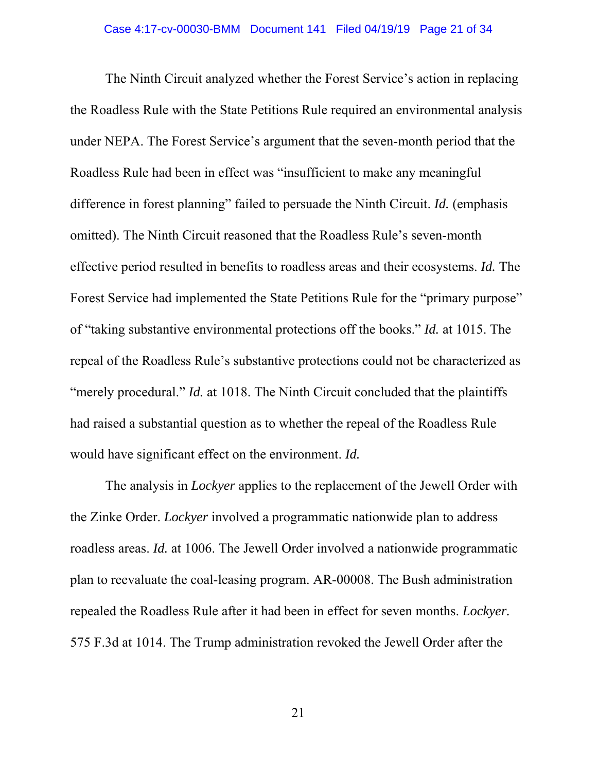The Ninth Circuit analyzed whether the Forest Service's action in replacing the Roadless Rule with the State Petitions Rule required an environmental analysis under NEPA. The Forest Service's argument that the seven-month period that the Roadless Rule had been in effect was "insufficient to make any meaningful difference in forest planning" failed to persuade the Ninth Circuit. *Id.* (emphasis omitted). The Ninth Circuit reasoned that the Roadless Rule's seven-month effective period resulted in benefits to roadless areas and their ecosystems. *Id.* The Forest Service had implemented the State Petitions Rule for the "primary purpose" of "taking substantive environmental protections off the books." *Id.* at 1015. The repeal of the Roadless Rule's substantive protections could not be characterized as "merely procedural." *Id.* at 1018. The Ninth Circuit concluded that the plaintiffs had raised a substantial question as to whether the repeal of the Roadless Rule would have significant effect on the environment. *Id.* 

The analysis in *Lockyer* applies to the replacement of the Jewell Order with the Zinke Order. *Lockyer* involved a programmatic nationwide plan to address roadless areas. *Id.* at 1006. The Jewell Order involved a nationwide programmatic plan to reevaluate the coal-leasing program. AR-00008. The Bush administration repealed the Roadless Rule after it had been in effect for seven months. *Lockyer.* 575 F.3d at 1014. The Trump administration revoked the Jewell Order after the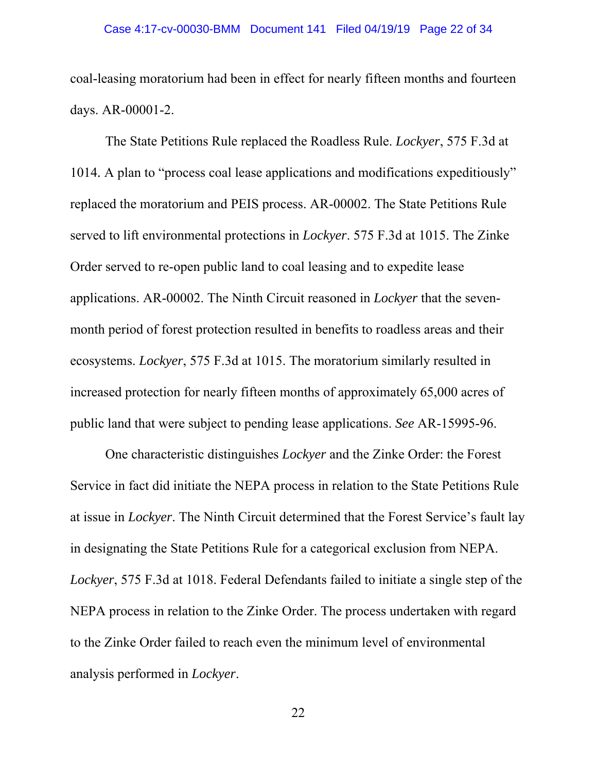coal-leasing moratorium had been in effect for nearly fifteen months and fourteen days. AR-00001-2.

The State Petitions Rule replaced the Roadless Rule. *Lockyer*, 575 F.3d at 1014*.* A plan to "process coal lease applications and modifications expeditiously" replaced the moratorium and PEIS process. AR-00002. The State Petitions Rule served to lift environmental protections in *Lockyer*. 575 F.3d at 1015. The Zinke Order served to re-open public land to coal leasing and to expedite lease applications. AR-00002. The Ninth Circuit reasoned in *Lockyer* that the sevenmonth period of forest protection resulted in benefits to roadless areas and their ecosystems. *Lockyer*, 575 F.3d at 1015. The moratorium similarly resulted in increased protection for nearly fifteen months of approximately 65,000 acres of public land that were subject to pending lease applications. *See* AR-15995-96.

One characteristic distinguishes *Lockyer* and the Zinke Order: the Forest Service in fact did initiate the NEPA process in relation to the State Petitions Rule at issue in *Lockyer*. The Ninth Circuit determined that the Forest Service's fault lay in designating the State Petitions Rule for a categorical exclusion from NEPA. *Lockyer*, 575 F.3d at 1018. Federal Defendants failed to initiate a single step of the NEPA process in relation to the Zinke Order. The process undertaken with regard to the Zinke Order failed to reach even the minimum level of environmental analysis performed in *Lockyer*.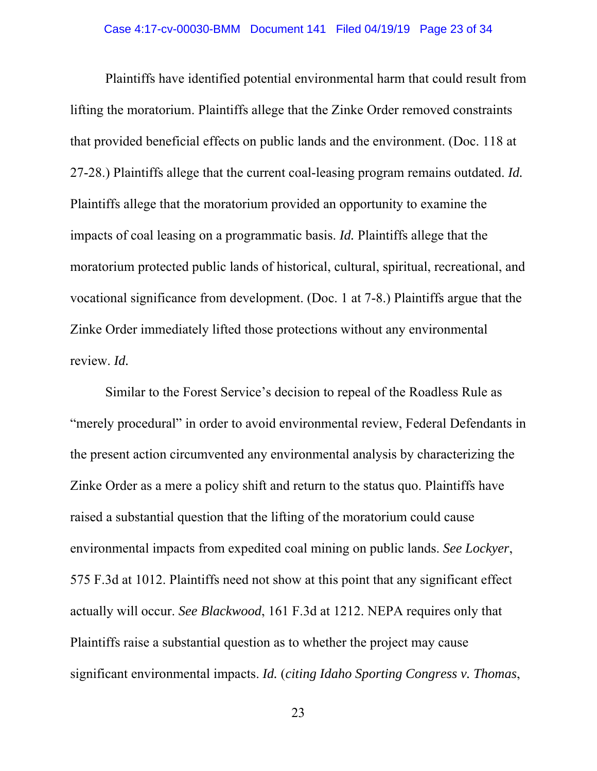Plaintiffs have identified potential environmental harm that could result from lifting the moratorium. Plaintiffs allege that the Zinke Order removed constraints that provided beneficial effects on public lands and the environment. (Doc. 118 at 27-28.) Plaintiffs allege that the current coal-leasing program remains outdated. *Id.* Plaintiffs allege that the moratorium provided an opportunity to examine the impacts of coal leasing on a programmatic basis. *Id.* Plaintiffs allege that the moratorium protected public lands of historical, cultural, spiritual, recreational, and vocational significance from development. (Doc. 1 at 7-8.) Plaintiffs argue that the Zinke Order immediately lifted those protections without any environmental review. *Id.* 

Similar to the Forest Service's decision to repeal of the Roadless Rule as "merely procedural" in order to avoid environmental review, Federal Defendants in the present action circumvented any environmental analysis by characterizing the Zinke Order as a mere a policy shift and return to the status quo. Plaintiffs have raised a substantial question that the lifting of the moratorium could cause environmental impacts from expedited coal mining on public lands. *See Lockyer*, 575 F.3d at 1012. Plaintiffs need not show at this point that any significant effect actually will occur. *See Blackwood*, 161 F.3d at 1212. NEPA requires only that Plaintiffs raise a substantial question as to whether the project may cause significant environmental impacts. *Id.* (*citing Idaho Sporting Congress v. Thomas*,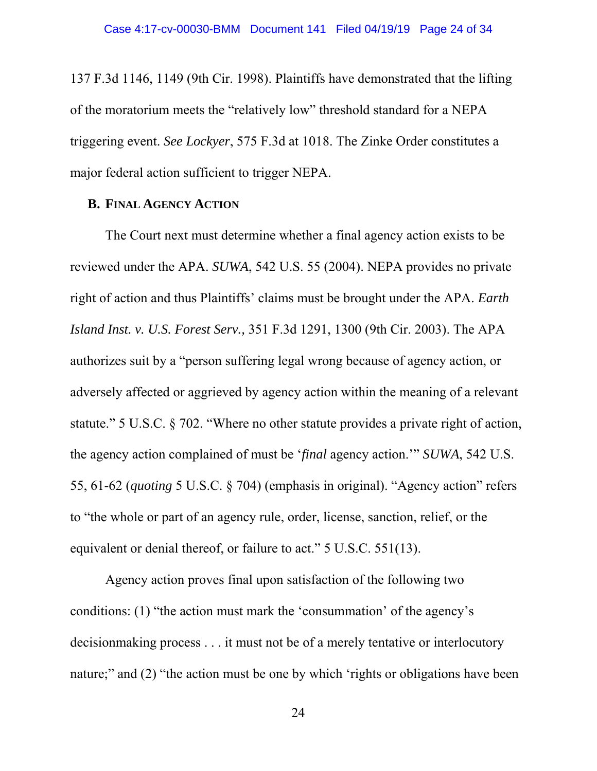137 F.3d 1146, 1149 (9th Cir. 1998). Plaintiffs have demonstrated that the lifting of the moratorium meets the "relatively low" threshold standard for a NEPA triggering event. *See Lockyer*, 575 F.3d at 1018. The Zinke Order constitutes a major federal action sufficient to trigger NEPA.

# **B. FINAL AGENCY ACTION**

The Court next must determine whether a final agency action exists to be reviewed under the APA. *SUWA*, 542 U.S. 55 (2004). NEPA provides no private right of action and thus Plaintiffs' claims must be brought under the APA. *Earth Island Inst. v. U.S. Forest Serv.,* 351 F.3d 1291, 1300 (9th Cir. 2003). The APA authorizes suit by a "person suffering legal wrong because of agency action, or adversely affected or aggrieved by agency action within the meaning of a relevant statute." 5 U.S.C. § 702. "Where no other statute provides a private right of action, the agency action complained of must be '*final* agency action.'" *SUWA*, 542 U.S. 55, 61-62 (*quoting* 5 U.S.C. § 704) (emphasis in original). "Agency action" refers to "the whole or part of an agency rule, order, license, sanction, relief, or the equivalent or denial thereof, or failure to act." 5 U.S.C. 551(13).

 Agency action proves final upon satisfaction of the following two conditions: (1) "the action must mark the 'consummation' of the agency's decisionmaking process . . . it must not be of a merely tentative or interlocutory nature;" and (2) "the action must be one by which 'rights or obligations have been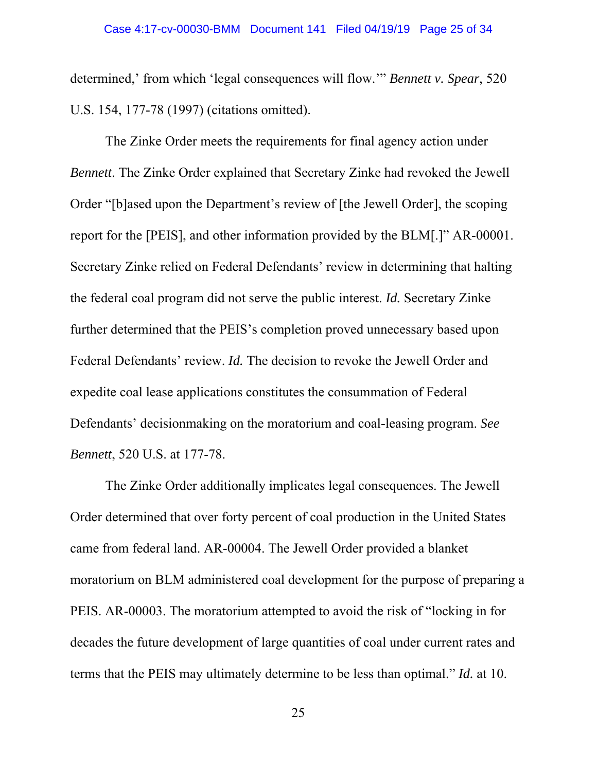determined,' from which 'legal consequences will flow.'" *Bennett v. Spear*, 520 U.S. 154, 177-78 (1997) (citations omitted).

 The Zinke Order meets the requirements for final agency action under *Bennett*. The Zinke Order explained that Secretary Zinke had revoked the Jewell Order "[b]ased upon the Department's review of [the Jewell Order], the scoping report for the [PEIS], and other information provided by the BLM[.]" AR-00001. Secretary Zinke relied on Federal Defendants' review in determining that halting the federal coal program did not serve the public interest. *Id.* Secretary Zinke further determined that the PEIS's completion proved unnecessary based upon Federal Defendants' review. *Id.* The decision to revoke the Jewell Order and expedite coal lease applications constitutes the consummation of Federal Defendants' decisionmaking on the moratorium and coal-leasing program. *See Bennett*, 520 U.S. at 177-78.

 The Zinke Order additionally implicates legal consequences. The Jewell Order determined that over forty percent of coal production in the United States came from federal land. AR-00004. The Jewell Order provided a blanket moratorium on BLM administered coal development for the purpose of preparing a PEIS. AR-00003. The moratorium attempted to avoid the risk of "locking in for decades the future development of large quantities of coal under current rates and terms that the PEIS may ultimately determine to be less than optimal." *Id.* at 10.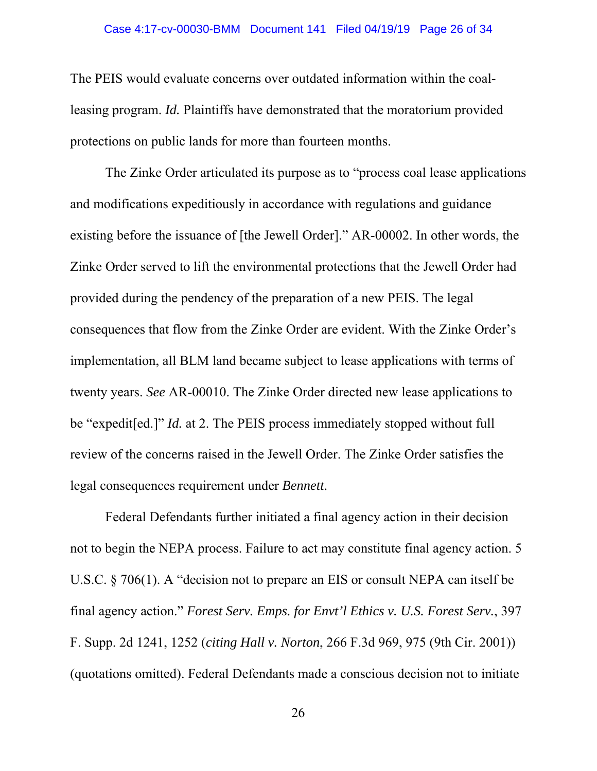The PEIS would evaluate concerns over outdated information within the coalleasing program. *Id.* Plaintiffs have demonstrated that the moratorium provided protections on public lands for more than fourteen months.

 The Zinke Order articulated its purpose as to "process coal lease applications and modifications expeditiously in accordance with regulations and guidance existing before the issuance of [the Jewell Order]." AR-00002. In other words, the Zinke Order served to lift the environmental protections that the Jewell Order had provided during the pendency of the preparation of a new PEIS. The legal consequences that flow from the Zinke Order are evident. With the Zinke Order's implementation, all BLM land became subject to lease applications with terms of twenty years. *See* AR-00010. The Zinke Order directed new lease applications to be "expedit[ed.]" *Id.* at 2. The PEIS process immediately stopped without full review of the concerns raised in the Jewell Order. The Zinke Order satisfies the legal consequences requirement under *Bennett*.

Federal Defendants further initiated a final agency action in their decision not to begin the NEPA process. Failure to act may constitute final agency action. 5 U.S.C. § 706(1). A "decision not to prepare an EIS or consult NEPA can itself be final agency action." *Forest Serv. Emps. for Envt'l Ethics v. U.S. Forest Serv.*, 397 F. Supp. 2d 1241, 1252 (*citing Hall v. Norton*, 266 F.3d 969, 975 (9th Cir. 2001)) (quotations omitted). Federal Defendants made a conscious decision not to initiate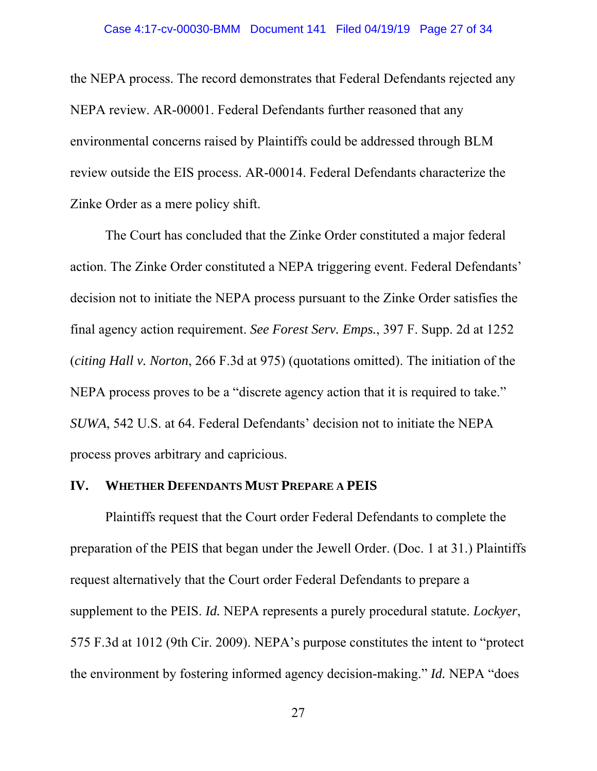the NEPA process. The record demonstrates that Federal Defendants rejected any NEPA review. AR-00001. Federal Defendants further reasoned that any environmental concerns raised by Plaintiffs could be addressed through BLM review outside the EIS process. AR-00014. Federal Defendants characterize the Zinke Order as a mere policy shift.

The Court has concluded that the Zinke Order constituted a major federal action. The Zinke Order constituted a NEPA triggering event. Federal Defendants' decision not to initiate the NEPA process pursuant to the Zinke Order satisfies the final agency action requirement. *See Forest Serv. Emps.*, 397 F. Supp. 2d at 1252 (*citing Hall v. Norton*, 266 F.3d at 975) (quotations omitted). The initiation of the NEPA process proves to be a "discrete agency action that it is required to take." *SUWA*, 542 U.S. at 64. Federal Defendants' decision not to initiate the NEPA process proves arbitrary and capricious.

#### **IV. WHETHER DEFENDANTS MUST PREPARE A PEIS**

Plaintiffs request that the Court order Federal Defendants to complete the preparation of the PEIS that began under the Jewell Order. (Doc. 1 at 31.) Plaintiffs request alternatively that the Court order Federal Defendants to prepare a supplement to the PEIS. *Id.* NEPA represents a purely procedural statute. *Lockyer*, 575 F.3d at 1012 (9th Cir. 2009). NEPA's purpose constitutes the intent to "protect the environment by fostering informed agency decision-making." *Id.* NEPA "does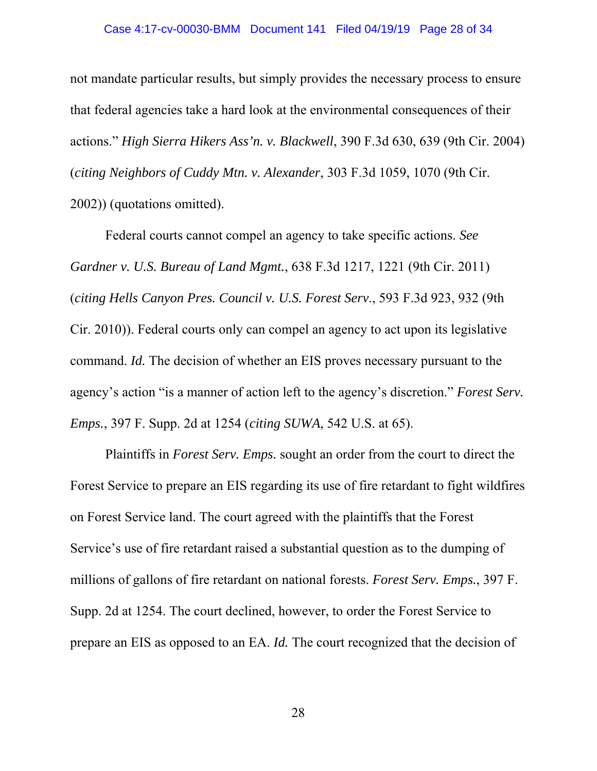not mandate particular results, but simply provides the necessary process to ensure that federal agencies take a hard look at the environmental consequences of their actions." *High Sierra Hikers Ass'n. v. Blackwell*, 390 F.3d 630, 639 (9th Cir. 2004) (*citing Neighbors of Cuddy Mtn. v. Alexander*, 303 F.3d 1059, 1070 (9th Cir. 2002)) (quotations omitted).

Federal courts cannot compel an agency to take specific actions. *See Gardner v. U.S. Bureau of Land Mgmt.*, 638 F.3d 1217, 1221 (9th Cir. 2011) (*citing Hells Canyon Pres. Council v. U.S. Forest Serv*., 593 F.3d 923, 932 (9th Cir. 2010)). Federal courts only can compel an agency to act upon its legislative command. *Id.* The decision of whether an EIS proves necessary pursuant to the agency's action "is a manner of action left to the agency's discretion." *Forest Serv. Emps.*, 397 F. Supp. 2d at 1254 (*citing SUWA*, 542 U.S. at 65).

Plaintiffs in *Forest Serv. Emps.* sought an order from the court to direct the Forest Service to prepare an EIS regarding its use of fire retardant to fight wildfires on Forest Service land. The court agreed with the plaintiffs that the Forest Service's use of fire retardant raised a substantial question as to the dumping of millions of gallons of fire retardant on national forests. *Forest Serv. Emps.*, 397 F. Supp. 2d at 1254. The court declined, however, to order the Forest Service to prepare an EIS as opposed to an EA. *Id.* The court recognized that the decision of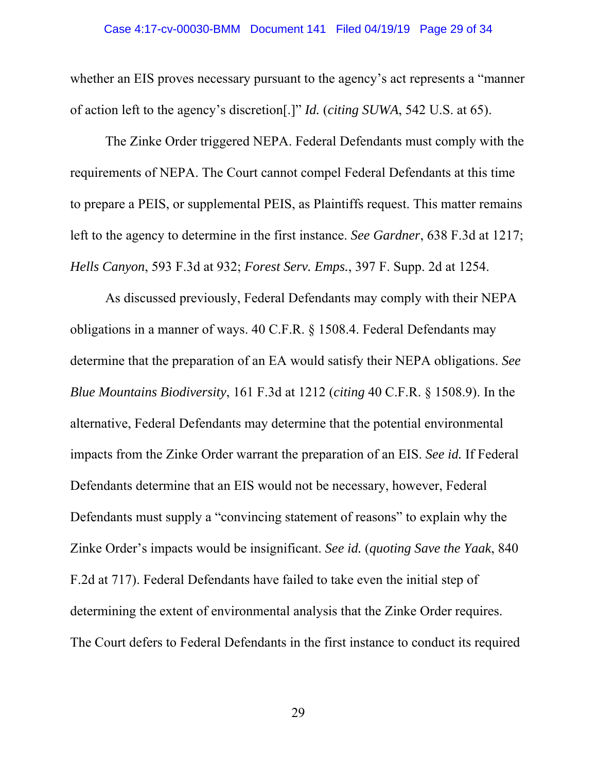#### Case 4:17-cv-00030-BMM Document 141 Filed 04/19/19 Page 29 of 34

whether an EIS proves necessary pursuant to the agency's act represents a "manner" of action left to the agency's discretion[.]" *Id.* (*citing SUWA*, 542 U.S. at 65).

The Zinke Order triggered NEPA. Federal Defendants must comply with the requirements of NEPA. The Court cannot compel Federal Defendants at this time to prepare a PEIS, or supplemental PEIS, as Plaintiffs request. This matter remains left to the agency to determine in the first instance. *See Gardner*, 638 F.3d at 1217; *Hells Canyon*, 593 F.3d at 932; *Forest Serv. Emps.*, 397 F. Supp. 2d at 1254.

As discussed previously, Federal Defendants may comply with their NEPA obligations in a manner of ways. 40 C.F.R. § 1508.4. Federal Defendants may determine that the preparation of an EA would satisfy their NEPA obligations. *See Blue Mountains Biodiversity*, 161 F.3d at 1212 (*citing* 40 C.F.R. § 1508.9). In the alternative, Federal Defendants may determine that the potential environmental impacts from the Zinke Order warrant the preparation of an EIS. *See id.* If Federal Defendants determine that an EIS would not be necessary, however, Federal Defendants must supply a "convincing statement of reasons" to explain why the Zinke Order's impacts would be insignificant. *See id.* (*quoting Save the Yaak*, 840 F.2d at 717). Federal Defendants have failed to take even the initial step of determining the extent of environmental analysis that the Zinke Order requires. The Court defers to Federal Defendants in the first instance to conduct its required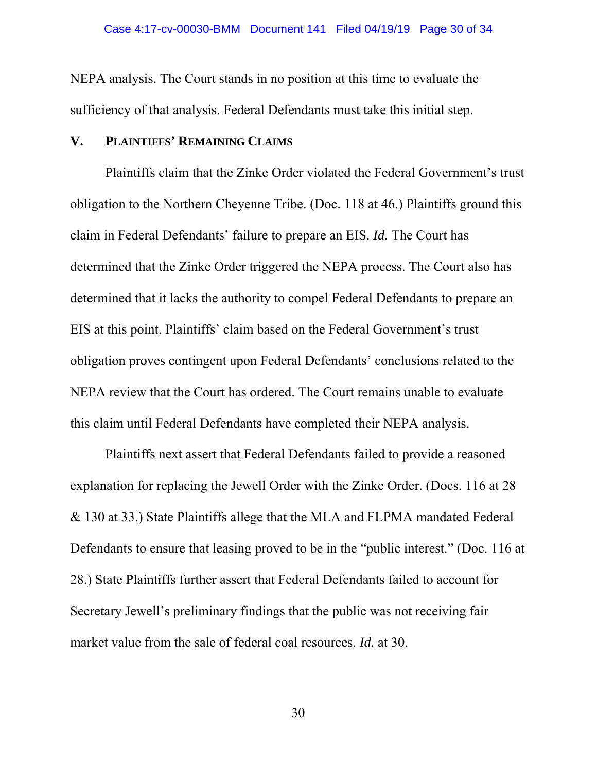NEPA analysis. The Court stands in no position at this time to evaluate the sufficiency of that analysis. Federal Defendants must take this initial step.

# **V. PLAINTIFFS' REMAINING CLAIMS**

Plaintiffs claim that the Zinke Order violated the Federal Government's trust obligation to the Northern Cheyenne Tribe. (Doc. 118 at 46.) Plaintiffs ground this claim in Federal Defendants' failure to prepare an EIS. *Id.* The Court has determined that the Zinke Order triggered the NEPA process. The Court also has determined that it lacks the authority to compel Federal Defendants to prepare an EIS at this point. Plaintiffs' claim based on the Federal Government's trust obligation proves contingent upon Federal Defendants' conclusions related to the NEPA review that the Court has ordered. The Court remains unable to evaluate this claim until Federal Defendants have completed their NEPA analysis.

Plaintiffs next assert that Federal Defendants failed to provide a reasoned explanation for replacing the Jewell Order with the Zinke Order. (Docs. 116 at 28 & 130 at 33.) State Plaintiffs allege that the MLA and FLPMA mandated Federal Defendants to ensure that leasing proved to be in the "public interest." (Doc. 116 at 28.) State Plaintiffs further assert that Federal Defendants failed to account for Secretary Jewell's preliminary findings that the public was not receiving fair market value from the sale of federal coal resources. *Id.* at 30.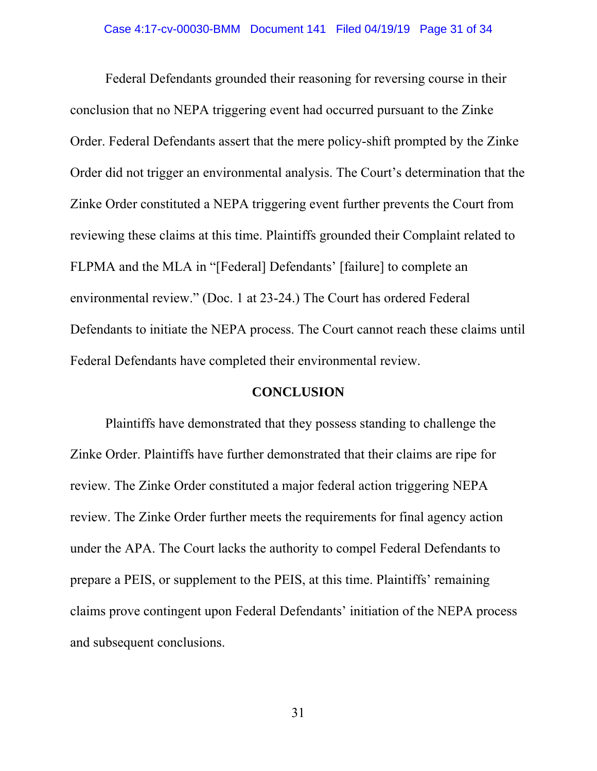Federal Defendants grounded their reasoning for reversing course in their conclusion that no NEPA triggering event had occurred pursuant to the Zinke Order. Federal Defendants assert that the mere policy-shift prompted by the Zinke Order did not trigger an environmental analysis. The Court's determination that the Zinke Order constituted a NEPA triggering event further prevents the Court from reviewing these claims at this time. Plaintiffs grounded their Complaint related to FLPMA and the MLA in "[Federal] Defendants' [failure] to complete an environmental review." (Doc. 1 at 23-24.) The Court has ordered Federal Defendants to initiate the NEPA process. The Court cannot reach these claims until Federal Defendants have completed their environmental review.

### **CONCLUSION**

 Plaintiffs have demonstrated that they possess standing to challenge the Zinke Order. Plaintiffs have further demonstrated that their claims are ripe for review. The Zinke Order constituted a major federal action triggering NEPA review. The Zinke Order further meets the requirements for final agency action under the APA. The Court lacks the authority to compel Federal Defendants to prepare a PEIS, or supplement to the PEIS, at this time. Plaintiffs' remaining claims prove contingent upon Federal Defendants' initiation of the NEPA process and subsequent conclusions.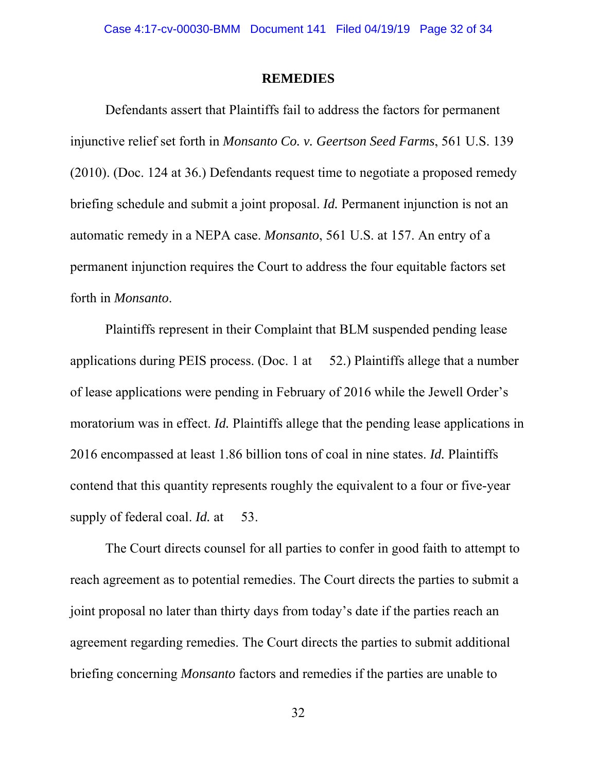#### **REMEDIES**

 Defendants assert that Plaintiffs fail to address the factors for permanent injunctive relief set forth in *Monsanto Co. v. Geertson Seed Farms*, 561 U.S. 139 (2010). (Doc. 124 at 36.) Defendants request time to negotiate a proposed remedy briefing schedule and submit a joint proposal. *Id.* Permanent injunction is not an automatic remedy in a NEPA case. *Monsanto*, 561 U.S. at 157. An entry of a permanent injunction requires the Court to address the four equitable factors set forth in *Monsanto*.

Plaintiffs represent in their Complaint that BLM suspended pending lease applications during PEIS process. (Doc. 1 at 52.) Plaintiffs allege that a number of lease applications were pending in February of 2016 while the Jewell Order's moratorium was in effect. *Id.* Plaintiffs allege that the pending lease applications in 2016 encompassed at least 1.86 billion tons of coal in nine states. *Id.* Plaintiffs contend that this quantity represents roughly the equivalent to a four or five-year supply of federal coal. *Id.* at 53.

 The Court directs counsel for all parties to confer in good faith to attempt to reach agreement as to potential remedies. The Court directs the parties to submit a joint proposal no later than thirty days from today's date if the parties reach an agreement regarding remedies. The Court directs the parties to submit additional briefing concerning *Monsanto* factors and remedies if the parties are unable to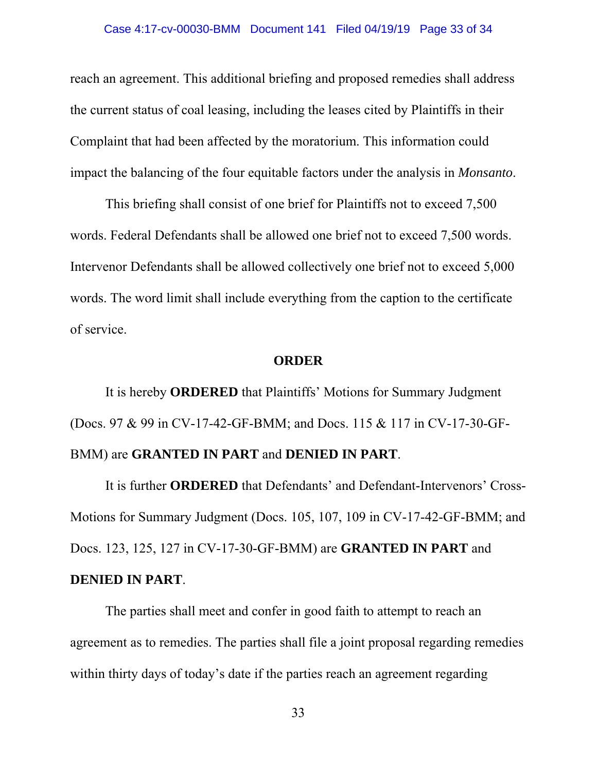reach an agreement. This additional briefing and proposed remedies shall address the current status of coal leasing, including the leases cited by Plaintiffs in their Complaint that had been affected by the moratorium. This information could impact the balancing of the four equitable factors under the analysis in *Monsanto*.

 This briefing shall consist of one brief for Plaintiffs not to exceed 7,500 words. Federal Defendants shall be allowed one brief not to exceed 7,500 words. Intervenor Defendants shall be allowed collectively one brief not to exceed 5,000 words. The word limit shall include everything from the caption to the certificate of service.

### **ORDER**

It is hereby **ORDERED** that Plaintiffs' Motions for Summary Judgment (Docs. 97 & 99 in CV-17-42-GF-BMM; and Docs. 115 & 117 in CV-17-30-GF-BMM) are **GRANTED IN PART** and **DENIED IN PART**.

It is further **ORDERED** that Defendants' and Defendant-Intervenors' Cross-Motions for Summary Judgment (Docs. 105, 107, 109 in CV-17-42-GF-BMM; and Docs. 123, 125, 127 in CV-17-30-GF-BMM) are **GRANTED IN PART** and **DENIED IN PART**.

The parties shall meet and confer in good faith to attempt to reach an agreement as to remedies. The parties shall file a joint proposal regarding remedies within thirty days of today's date if the parties reach an agreement regarding